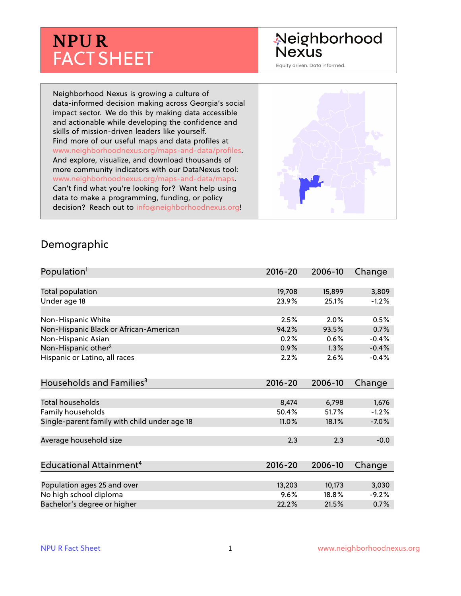# **NPUR** FACT SHEET

## Neighborhood **Nexus**

Equity driven. Data informed.

Neighborhood Nexus is growing a culture of data-informed decision making across Georgia's social impact sector. We do this by making data accessible and actionable while developing the confidence and skills of mission-driven leaders like yourself. Find more of our useful maps and data profiles at www.neighborhoodnexus.org/maps-and-data/profiles. And explore, visualize, and download thousands of more community indicators with our DataNexus tool: www.neighborhoodnexus.org/maps-and-data/maps. Can't find what you're looking for? Want help using data to make a programming, funding, or policy decision? Reach out to [info@neighborhoodnexus.org!](mailto:info@neighborhoodnexus.org)



#### Demographic

| Population <sup>1</sup>                      | $2016 - 20$ | 2006-10 | Change  |
|----------------------------------------------|-------------|---------|---------|
|                                              |             |         |         |
| Total population                             | 19,708      | 15,899  | 3,809   |
| Under age 18                                 | 23.9%       | 25.1%   | $-1.2%$ |
| Non-Hispanic White                           | 2.5%        | 2.0%    | 0.5%    |
| Non-Hispanic Black or African-American       | 94.2%       | 93.5%   | 0.7%    |
| Non-Hispanic Asian                           | 0.2%        | 0.6%    | $-0.4%$ |
| Non-Hispanic other <sup>2</sup>              | 0.9%        | 1.3%    | $-0.4%$ |
| Hispanic or Latino, all races                | 2.2%        | 2.6%    | $-0.4%$ |
| Households and Families <sup>3</sup>         | $2016 - 20$ | 2006-10 | Change  |
|                                              |             |         |         |
| <b>Total households</b>                      | 8,474       | 6,798   | 1,676   |
| Family households                            | 50.4%       | 51.7%   | $-1.2%$ |
| Single-parent family with child under age 18 | 11.0%       | 18.1%   | $-7.0%$ |
| Average household size                       | 2.3         | 2.3     | $-0.0$  |
|                                              |             |         |         |
| Educational Attainment <sup>4</sup>          | $2016 - 20$ | 2006-10 | Change  |
| Population ages 25 and over                  | 13,203      | 10,173  | 3,030   |
| No high school diploma                       | 9.6%        | 18.8%   | $-9.2%$ |
| Bachelor's degree or higher                  | 22.2%       | 21.5%   | 0.7%    |
|                                              |             |         |         |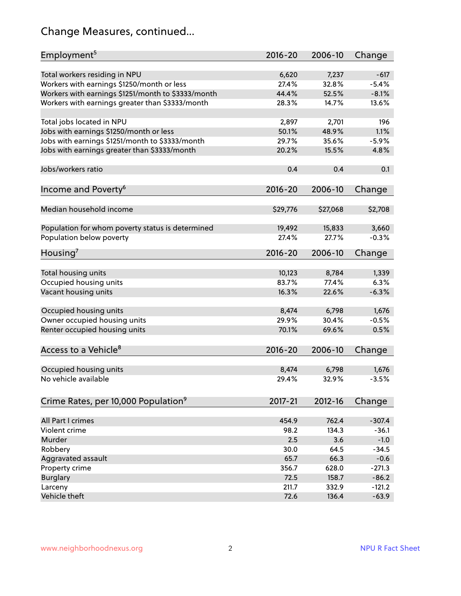## Change Measures, continued...

| Employment <sup>5</sup>                            | $2016 - 20$ | 2006-10     | Change   |
|----------------------------------------------------|-------------|-------------|----------|
|                                                    |             |             |          |
| Total workers residing in NPU                      | 6,620       | 7,237       | $-617$   |
| Workers with earnings \$1250/month or less         | 27.4%       | 32.8%       | $-5.4%$  |
| Workers with earnings \$1251/month to \$3333/month | 44.4%       | 52.5%       | $-8.1%$  |
| Workers with earnings greater than \$3333/month    | 28.3%       | 14.7%       | 13.6%    |
| Total jobs located in NPU                          | 2,897       | 2,701       | 196      |
| Jobs with earnings \$1250/month or less            | 50.1%       | 48.9%       | 1.1%     |
| Jobs with earnings \$1251/month to \$3333/month    | 29.7%       | 35.6%       | $-5.9%$  |
| Jobs with earnings greater than \$3333/month       | 20.2%       | 15.5%       | 4.8%     |
|                                                    |             |             |          |
| Jobs/workers ratio                                 | 0.4         | 0.4         | 0.1      |
| Income and Poverty <sup>6</sup>                    | $2016 - 20$ | 2006-10     |          |
|                                                    |             |             | Change   |
| Median household income                            | \$29,776    | \$27,068    | \$2,708  |
|                                                    |             |             |          |
| Population for whom poverty status is determined   | 19,492      | 15,833      | 3,660    |
| Population below poverty                           | 27.4%       | 27.7%       | $-0.3%$  |
|                                                    |             |             |          |
| Housing <sup>7</sup>                               | $2016 - 20$ | 2006-10     | Change   |
| Total housing units                                | 10,123      | 8,784       | 1,339    |
| Occupied housing units                             | 83.7%       | 77.4%       | 6.3%     |
| Vacant housing units                               | 16.3%       | 22.6%       | $-6.3%$  |
|                                                    |             |             |          |
| Occupied housing units                             | 8,474       | 6,798       | 1,676    |
| Owner occupied housing units                       | 29.9%       | 30.4%       | $-0.5%$  |
| Renter occupied housing units                      | 70.1%       | 69.6%       | 0.5%     |
|                                                    |             |             |          |
| Access to a Vehicle <sup>8</sup>                   | $2016 - 20$ | 2006-10     | Change   |
|                                                    |             |             |          |
| Occupied housing units                             | 8,474       | 6,798       | 1,676    |
| No vehicle available                               | 29.4%       | 32.9%       | $-3.5%$  |
|                                                    |             |             |          |
| Crime Rates, per 10,000 Population <sup>9</sup>    | 2017-21     | $2012 - 16$ | Change   |
|                                                    |             |             |          |
| All Part I crimes                                  | 454.9       | 762.4       | $-307.4$ |
| Violent crime                                      | 98.2        | 134.3       | $-36.1$  |
| Murder                                             | 2.5         | 3.6         | $-1.0$   |
| Robbery                                            | 30.0        | 64.5        | $-34.5$  |
| Aggravated assault                                 | 65.7        | 66.3        | $-0.6$   |
| Property crime                                     | 356.7       | 628.0       | $-271.3$ |
| <b>Burglary</b>                                    | 72.5        | 158.7       | $-86.2$  |
| Larceny                                            | 211.7       | 332.9       | $-121.2$ |
| Vehicle theft                                      | 72.6        | 136.4       | $-63.9$  |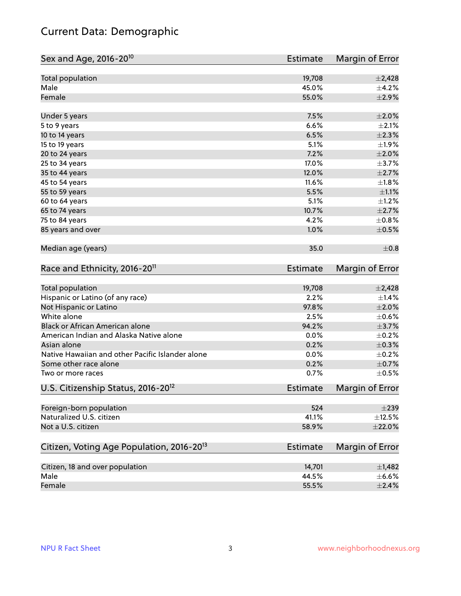## Current Data: Demographic

| Sex and Age, 2016-20 <sup>10</sup>                    | Estimate        | Margin of Error |
|-------------------------------------------------------|-----------------|-----------------|
| Total population                                      | 19,708          | $\pm$ 2,428     |
| Male                                                  | 45.0%           | $\pm$ 4.2%      |
| Female                                                | 55.0%           | ±2.9%           |
| Under 5 years                                         | 7.5%            | $\pm 2.0\%$     |
| 5 to 9 years                                          | 6.6%            | $\pm 2.1\%$     |
| 10 to 14 years                                        | 6.5%            | $\pm 2.3\%$     |
| 15 to 19 years                                        | 5.1%            | ±1.9%           |
| 20 to 24 years                                        | 7.2%            | $\pm 2.0\%$     |
| 25 to 34 years                                        | 17.0%           | $\pm$ 3.7%      |
| 35 to 44 years                                        | 12.0%           | $\pm 2.7\%$     |
| 45 to 54 years                                        | 11.6%           | $\pm1.8\%$      |
| 55 to 59 years                                        | 5.5%            | $\pm 1.1\%$     |
| 60 to 64 years                                        | 5.1%            | $\pm 1.2\%$     |
| 65 to 74 years                                        | 10.7%           | $\pm 2.7\%$     |
| 75 to 84 years                                        | 4.2%            | $\pm$ 0.8%      |
| 85 years and over                                     | 1.0%            | $\pm$ 0.5%      |
| Median age (years)                                    | 35.0            | $\pm$ 0.8       |
| Race and Ethnicity, 2016-20 <sup>11</sup>             | <b>Estimate</b> | Margin of Error |
| Total population                                      | 19,708          | $\pm$ 2,428     |
| Hispanic or Latino (of any race)                      | 2.2%            | $\pm$ 1.4%      |
| Not Hispanic or Latino                                | 97.8%           | $\pm 2.0\%$     |
| White alone                                           | 2.5%            | $\pm$ 0.6%      |
| Black or African American alone                       | 94.2%           | $\pm$ 3.7%      |
| American Indian and Alaska Native alone               | 0.0%            | $\pm$ 0.2%      |
| Asian alone                                           | 0.2%            | $\pm$ 0.3%      |
| Native Hawaiian and other Pacific Islander alone      | 0.0%            | $\pm$ 0.2%      |
| Some other race alone                                 | 0.2%            | $\pm$ 0.7%      |
| Two or more races                                     | 0.7%            | $\pm$ 0.5%      |
| U.S. Citizenship Status, 2016-20 <sup>12</sup>        | Estimate        | Margin of Error |
| Foreign-born population                               | 524             | $\pm 239$       |
| Naturalized U.S. citizen                              | 41.1%           | $\pm$ 12.5%     |
| Not a U.S. citizen                                    | 58.9%           | $\pm 22.0\%$    |
| Citizen, Voting Age Population, 2016-20 <sup>13</sup> | <b>Estimate</b> | Margin of Error |
| Citizen, 18 and over population                       | 14,701          | $\pm$ 1,482     |
| Male                                                  | 44.5%           | $\pm$ 6.6%      |
| Female                                                | 55.5%           | $\pm 2.4\%$     |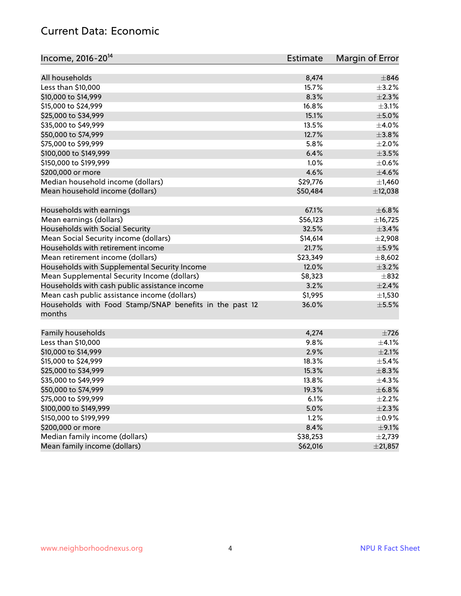#### Current Data: Economic

| Income, 2016-20 <sup>14</sup>                                     | Estimate | Margin of Error |
|-------------------------------------------------------------------|----------|-----------------|
| All households                                                    | 8,474    | $\pm$ 846       |
| Less than \$10,000                                                | 15.7%    | $\pm$ 3.2%      |
| \$10,000 to \$14,999                                              | 8.3%     | $\pm 2.3\%$     |
| \$15,000 to \$24,999                                              | 16.8%    | $\pm$ 3.1%      |
| \$25,000 to \$34,999                                              | 15.1%    | $\pm$ 5.0%      |
| \$35,000 to \$49,999                                              | 13.5%    | $\pm$ 4.0%      |
| \$50,000 to \$74,999                                              | 12.7%    | $\pm$ 3.8%      |
| \$75,000 to \$99,999                                              | 5.8%     | $\pm 2.0\%$     |
| \$100,000 to \$149,999                                            | 6.4%     | $\pm$ 3.5%      |
|                                                                   | 1.0%     |                 |
| \$150,000 to \$199,999                                            |          | $\pm$ 0.6%      |
| \$200,000 or more                                                 | 4.6%     | $\pm$ 4.6%      |
| Median household income (dollars)                                 | \$29,776 | $\pm$ 1,460     |
| Mean household income (dollars)                                   | \$50,484 | ±12,038         |
| Households with earnings                                          | 67.1%    | ±6.8%           |
| Mean earnings (dollars)                                           | \$56,123 | ±16,725         |
| Households with Social Security                                   | 32.5%    | $\pm$ 3.4%      |
| Mean Social Security income (dollars)                             | \$14,614 | $\pm 2,908$     |
| Households with retirement income                                 | 21.7%    | ±5.9%           |
| Mean retirement income (dollars)                                  | \$23,349 | ±8,602          |
| Households with Supplemental Security Income                      | 12.0%    | $\pm$ 3.2%      |
| Mean Supplemental Security Income (dollars)                       | \$8,323  | $\pm$ 832       |
| Households with cash public assistance income                     | 3.2%     | $\pm 2.4\%$     |
| Mean cash public assistance income (dollars)                      | \$1,995  | $\pm$ 1,530     |
| Households with Food Stamp/SNAP benefits in the past 12<br>months | 36.0%    | $\pm$ 5.5%      |
|                                                                   |          |                 |
| Family households                                                 | 4,274    | $\pm 726$       |
| Less than \$10,000                                                | 9.8%     | $\pm 4.1\%$     |
| \$10,000 to \$14,999                                              | 2.9%     | $\pm 2.1\%$     |
| \$15,000 to \$24,999                                              | 18.3%    | $\pm$ 5.4%      |
| \$25,000 to \$34,999                                              | 15.3%    | $\pm$ 8.3%      |
| \$35,000 to \$49,999                                              | 13.8%    | ±4.3%           |
| \$50,000 to \$74,999                                              | 19.3%    | ±6.8%           |
| \$75,000 to \$99,999                                              | 6.1%     | $\pm 2.2\%$     |
| \$100,000 to \$149,999                                            | 5.0%     | ±2.3%           |
| \$150,000 to \$199,999                                            | 1.2%     | $\pm$ 0.9%      |
| \$200,000 or more                                                 | 8.4%     | $\pm$ 9.1%      |
| Median family income (dollars)                                    | \$38,253 | $\pm$ 2,739     |
| Mean family income (dollars)                                      | \$62,016 | ±21,857         |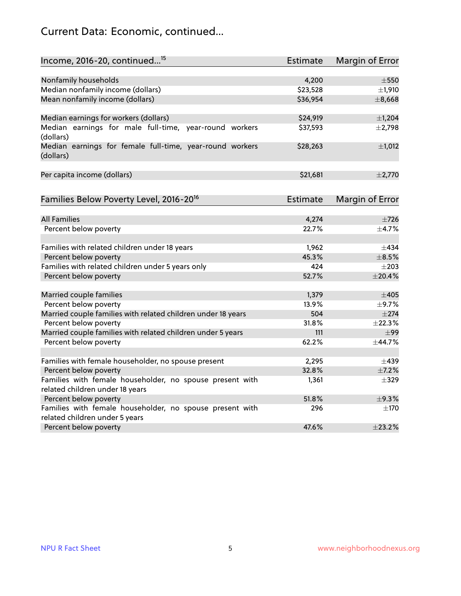## Current Data: Economic, continued...

| Income, 2016-20, continued <sup>15</sup>                                           | <b>Estimate</b> | <b>Margin of Error</b> |
|------------------------------------------------------------------------------------|-----------------|------------------------|
|                                                                                    |                 |                        |
| Nonfamily households                                                               | 4,200           | $\pm$ 550              |
| Median nonfamily income (dollars)                                                  | \$23,528        | $\pm$ 1,910            |
| Mean nonfamily income (dollars)                                                    | \$36,954        | ±8,668                 |
| Median earnings for workers (dollars)                                              | \$24,919        | $\pm$ 1,204            |
| Median earnings for male full-time, year-round workers                             | \$37,593        | $\pm$ 2,798            |
| (dollars)<br>Median earnings for female full-time, year-round workers<br>(dollars) | \$28,263        | $\pm$ 1,012            |
| Per capita income (dollars)                                                        | \$21,681        | ±2,770                 |
| Families Below Poverty Level, 2016-20 <sup>16</sup>                                | <b>Estimate</b> | <b>Margin of Error</b> |
|                                                                                    |                 |                        |
| <b>All Families</b>                                                                | 4,274           | $\pm 726$              |
| Percent below poverty                                                              | 22.7%           | ±4.7%                  |
| Families with related children under 18 years                                      | 1,962           | $\pm$ 434              |
| Percent below poverty                                                              | 45.3%           | $\pm$ 8.5%             |
| Families with related children under 5 years only                                  | 424             | $\pm 203$              |
| Percent below poverty                                                              | 52.7%           | ±20.4%                 |
| Married couple families                                                            | 1,379           | $\pm 405$              |
| Percent below poverty                                                              | 13.9%           | ±9.7%                  |
| Married couple families with related children under 18 years                       | 504             | $\pm 274$              |
| Percent below poverty                                                              | 31.8%           | ±22.3%                 |
| Married couple families with related children under 5 years                        | 111             | $\pm$ 99               |
| Percent below poverty                                                              | 62.2%           | ±44.7%                 |
| Families with female householder, no spouse present                                | 2,295           | $\pm$ 439              |
| Percent below poverty                                                              | 32.8%           | $\pm$ 7.2%             |
| Families with female householder, no spouse present with                           | 1,361           | $\pm$ 329              |
| related children under 18 years                                                    |                 |                        |
| Percent below poverty                                                              | 51.8%           | ±9.3%                  |
| Families with female householder, no spouse present with                           | 296             | $\pm$ 170              |
| related children under 5 years                                                     |                 |                        |
| Percent below poverty                                                              | 47.6%           | ±23.2%                 |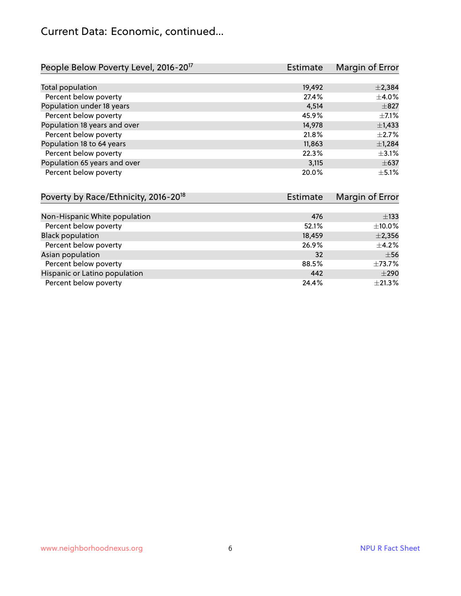#### Current Data: Economic, continued...

| People Below Poverty Level, 2016-20 <sup>17</sup> | Estimate | Margin of Error |
|---------------------------------------------------|----------|-----------------|
|                                                   |          |                 |
| Total population                                  | 19,492   | $\pm 2,384$     |
| Percent below poverty                             | 27.4%    | $\pm 4.0\%$     |
| Population under 18 years                         | 4,514    | $\pm 827$       |
| Percent below poverty                             | 45.9%    | $+7.1%$         |
| Population 18 years and over                      | 14,978   | $\pm$ 1,433     |
| Percent below poverty                             | 21.8%    | $\pm 2.7\%$     |
| Population 18 to 64 years                         | 11,863   | $\pm$ 1,284     |
| Percent below poverty                             | 22.3%    | $\pm$ 3.1%      |
| Population 65 years and over                      | 3,115    | $\pm 637$       |
| Percent below poverty                             | 20.0%    | $+5.1%$         |

| Poverty by Race/Ethnicity, 2016-20 <sup>18</sup> | <b>Estimate</b> | Margin of Error |
|--------------------------------------------------|-----------------|-----------------|
|                                                  |                 |                 |
| Non-Hispanic White population                    | 476             | $\pm$ 133       |
| Percent below poverty                            | 52.1%           | $\pm$ 10.0%     |
| <b>Black population</b>                          | 18,459          | $\pm 2,356$     |
| Percent below poverty                            | 26.9%           | $\pm$ 4.2%      |
| Asian population                                 | 32              | $\pm$ 56        |
| Percent below poverty                            | 88.5%           | ±73.7%          |
| Hispanic or Latino population                    | 442             | $\pm 290$       |
| Percent below poverty                            | 24.4%           | $\pm 21.3\%$    |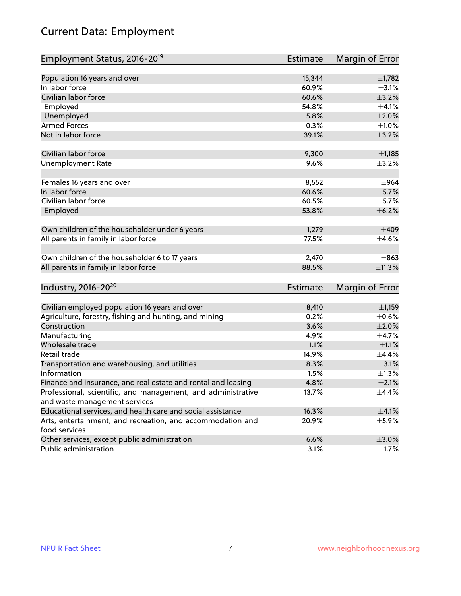## Current Data: Employment

| Employment Status, 2016-20 <sup>19</sup>                                    | Estimate        | Margin of Error |
|-----------------------------------------------------------------------------|-----------------|-----------------|
|                                                                             |                 |                 |
| Population 16 years and over                                                | 15,344          | ±1,782          |
| In labor force                                                              | 60.9%           | $\pm$ 3.1%      |
| Civilian labor force                                                        | 60.6%           | $\pm$ 3.2%      |
| Employed                                                                    | 54.8%           | $\pm 4.1\%$     |
| Unemployed                                                                  | 5.8%            | $\pm 2.0\%$     |
| <b>Armed Forces</b>                                                         | 0.3%            | $\pm 1.0\%$     |
| Not in labor force                                                          | 39.1%           | $\pm$ 3.2%      |
|                                                                             |                 |                 |
| Civilian labor force                                                        | 9,300           | $\pm$ 1,185     |
| <b>Unemployment Rate</b>                                                    | 9.6%            | $\pm$ 3.2%      |
|                                                                             |                 |                 |
| Females 16 years and over                                                   | 8,552           | $\pm$ 964       |
| In labor force                                                              | 60.6%           | $\pm$ 5.7%      |
| Civilian labor force                                                        | 60.5%           | $\pm$ 5.7%      |
| Employed                                                                    | 53.8%           | $\pm$ 6.2%      |
| Own children of the householder under 6 years                               | 1,279           | $\pm 409$       |
| All parents in family in labor force                                        | 77.5%           | $\pm$ 4.6%      |
|                                                                             |                 |                 |
| Own children of the householder 6 to 17 years                               | 2,470           | $\pm$ 863       |
| All parents in family in labor force                                        | 88.5%           | ±11.3%          |
|                                                                             |                 |                 |
| Industry, 2016-20 <sup>20</sup>                                             | <b>Estimate</b> | Margin of Error |
|                                                                             |                 |                 |
| Civilian employed population 16 years and over                              | 8,410           | $\pm$ 1,159     |
| Agriculture, forestry, fishing and hunting, and mining                      | 0.2%            | $\pm$ 0.6%      |
| Construction                                                                | 3.6%            | $\pm 2.0\%$     |
| Manufacturing                                                               | 4.9%            | $\pm$ 4.7%      |
| Wholesale trade                                                             | 1.1%            | $\pm 1.1\%$     |
| Retail trade                                                                | 14.9%           | ±4.4%           |
| Transportation and warehousing, and utilities                               | 8.3%            | $\pm$ 3.1%      |
| Information                                                                 | 1.5%            | $\pm 1.3\%$     |
| Finance and insurance, and real estate and rental and leasing               | 4.8%            | $\pm 2.1\%$     |
| Professional, scientific, and management, and administrative                | 13.7%           | $\pm$ 4.4%      |
| and waste management services                                               |                 |                 |
| Educational services, and health care and social assistance                 | 16.3%           | $\pm$ 4.1%      |
| Arts, entertainment, and recreation, and accommodation and<br>food services | 20.9%           | $\pm$ 5.9%      |
| Other services, except public administration                                | 6.6%            | $\pm 3.0\%$     |
| Public administration                                                       | 3.1%            | $\pm 1.7\%$     |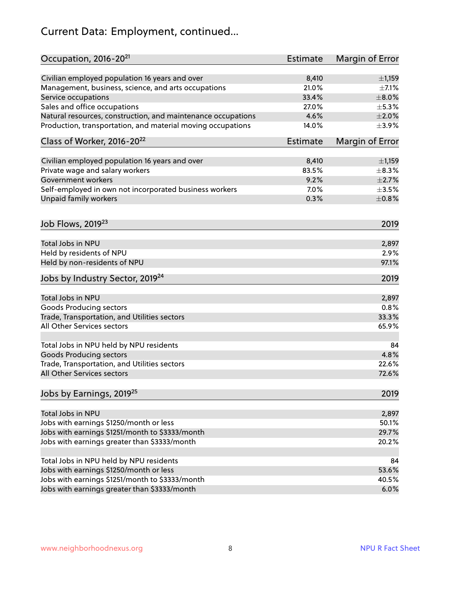## Current Data: Employment, continued...

| Occupation, 2016-20 <sup>21</sup>                            | Estimate        | Margin of Error |
|--------------------------------------------------------------|-----------------|-----------------|
| Civilian employed population 16 years and over               | 8,410           | $\pm$ 1,159     |
| Management, business, science, and arts occupations          | 21.0%           | $\pm$ 7.1%      |
| Service occupations                                          | 33.4%           | $\pm 8.0\%$     |
| Sales and office occupations                                 | 27.0%           | $\pm$ 5.3%      |
| Natural resources, construction, and maintenance occupations | 4.6%            | $\pm 2.0\%$     |
| Production, transportation, and material moving occupations  | 14.0%           | $\pm$ 3.9%      |
| Class of Worker, 2016-20 <sup>22</sup>                       | <b>Estimate</b> | Margin of Error |
| Civilian employed population 16 years and over               | 8,410           | $\pm$ 1,159     |
| Private wage and salary workers                              | 83.5%           | $\pm$ 8.3%      |
| Government workers                                           | 9.2%            | $\pm 2.7\%$     |
| Self-employed in own not incorporated business workers       | 7.0%            | $\pm$ 3.5%      |
| <b>Unpaid family workers</b>                                 | 0.3%            | $\pm$ 0.8%      |
| Job Flows, 2019 <sup>23</sup>                                |                 | 2019            |
| Total Jobs in NPU                                            |                 | 2,897           |
| Held by residents of NPU                                     |                 | 2.9%            |
| Held by non-residents of NPU                                 |                 | 97.1%           |
|                                                              |                 |                 |
| Jobs by Industry Sector, 2019 <sup>24</sup>                  |                 | 2019            |
| Total Jobs in NPU                                            |                 | 2,897           |
| <b>Goods Producing sectors</b>                               |                 | 0.8%            |
| Trade, Transportation, and Utilities sectors                 |                 | 33.3%           |
| All Other Services sectors                                   |                 | 65.9%           |
| Total Jobs in NPU held by NPU residents                      |                 | 84              |
| <b>Goods Producing sectors</b>                               |                 | 4.8%            |
| Trade, Transportation, and Utilities sectors                 |                 | 22.6%           |
| All Other Services sectors                                   |                 | 72.6%           |
| Jobs by Earnings, 2019 <sup>25</sup>                         |                 | 2019            |
| Total Jobs in NPU                                            |                 | 2,897           |
| Jobs with earnings \$1250/month or less                      |                 | 50.1%           |
| Jobs with earnings \$1251/month to \$3333/month              |                 | 29.7%           |
| Jobs with earnings greater than \$3333/month                 |                 | 20.2%           |
|                                                              |                 |                 |
| Total Jobs in NPU held by NPU residents                      |                 | 84              |
| Jobs with earnings \$1250/month or less                      |                 | 53.6%           |
| Jobs with earnings \$1251/month to \$3333/month              |                 | 40.5%           |
| Jobs with earnings greater than \$3333/month                 |                 | 6.0%            |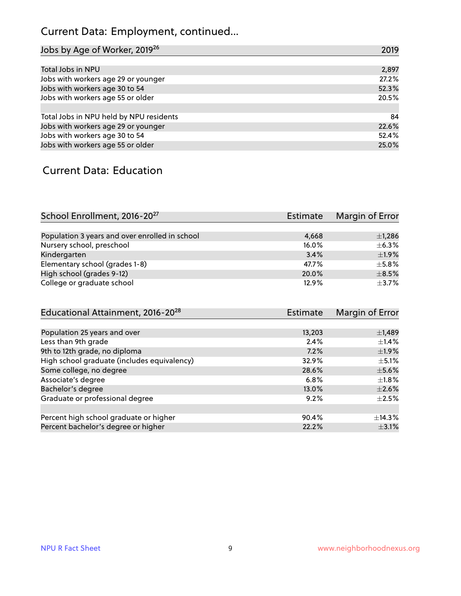## Current Data: Employment, continued...

| Jobs by Age of Worker, 2019 <sup>26</sup> | 2019  |
|-------------------------------------------|-------|
|                                           |       |
| Total Jobs in NPU                         | 2,897 |
| Jobs with workers age 29 or younger       | 27.2% |
| Jobs with workers age 30 to 54            | 52.3% |
| Jobs with workers age 55 or older         | 20.5% |
|                                           |       |
| Total Jobs in NPU held by NPU residents   | 84    |
| Jobs with workers age 29 or younger       | 22.6% |
| Jobs with workers age 30 to 54            | 52.4% |
| Jobs with workers age 55 or older         | 25.0% |

#### Current Data: Education

| School Enrollment, 2016-20 <sup>27</sup>       | Estimate | Margin of Error |
|------------------------------------------------|----------|-----------------|
|                                                |          |                 |
| Population 3 years and over enrolled in school | 4,668    | $\pm$ 1,286     |
| Nursery school, preschool                      | 16.0%    | $\pm$ 6.3%      |
| Kindergarten                                   | 3.4%     | $+1.9%$         |
| Elementary school (grades 1-8)                 | 47.7%    | $\pm$ 5.8%      |
| High school (grades 9-12)                      | 20.0%    | $\pm$ 8.5%      |
| College or graduate school                     | 12.9%    | $\pm$ 3.7%      |

| Educational Attainment, 2016-20 <sup>28</sup> | <b>Estimate</b> | Margin of Error |
|-----------------------------------------------|-----------------|-----------------|
|                                               |                 |                 |
| Population 25 years and over                  | 13,203          | $\pm$ 1,489     |
| Less than 9th grade                           | 2.4%            | $\pm$ 1.4%      |
| 9th to 12th grade, no diploma                 | 7.2%            | $\pm$ 1.9%      |
| High school graduate (includes equivalency)   | 32.9%           | $\pm$ 5.1%      |
| Some college, no degree                       | 28.6%           | $\pm$ 5.6%      |
| Associate's degree                            | 6.8%            | $\pm 1.8\%$     |
| Bachelor's degree                             | 13.0%           | $\pm 2.6\%$     |
| Graduate or professional degree               | 9.2%            | $+2.5%$         |
|                                               |                 |                 |
| Percent high school graduate or higher        | 90.4%           | $\pm$ 14.3%     |
| Percent bachelor's degree or higher           | 22.2%           | $\pm$ 3.1%      |
|                                               |                 |                 |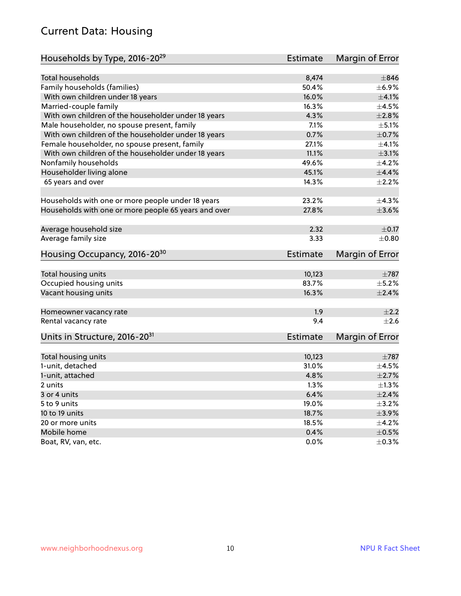#### Current Data: Housing

| Households by Type, 2016-20 <sup>29</sup>            | Estimate        | Margin of Error |
|------------------------------------------------------|-----------------|-----------------|
|                                                      |                 |                 |
| <b>Total households</b>                              | 8,474           | $\pm$ 846       |
| Family households (families)                         | 50.4%           | $\pm$ 6.9%      |
| With own children under 18 years                     | 16.0%           | $\pm 4.1\%$     |
| Married-couple family                                | 16.3%           | $\pm 4.5\%$     |
| With own children of the householder under 18 years  | 4.3%            | $\pm 2.8\%$     |
| Male householder, no spouse present, family          | 7.1%            | $\pm$ 5.1%      |
| With own children of the householder under 18 years  | 0.7%            | $\pm$ 0.7%      |
| Female householder, no spouse present, family        | 27.1%           | $\pm 4.1\%$     |
| With own children of the householder under 18 years  | 11.1%           | $\pm$ 3.1%      |
| Nonfamily households                                 | 49.6%           | $\pm$ 4.2%      |
| Householder living alone                             | 45.1%           | ±4.4%           |
| 65 years and over                                    | 14.3%           | $\pm 2.2\%$     |
| Households with one or more people under 18 years    | 23.2%           | $\pm$ 4.3%      |
| Households with one or more people 65 years and over | 27.8%           | $\pm 3.6\%$     |
|                                                      |                 |                 |
| Average household size                               | 2.32            | $\pm$ 0.17      |
| Average family size                                  | 3.33            | $\pm 0.80$      |
| Housing Occupancy, 2016-20 <sup>30</sup>             | Estimate        | Margin of Error |
|                                                      |                 |                 |
| Total housing units                                  | 10,123          | $\pm 787$       |
| Occupied housing units                               | 83.7%           | $\pm$ 5.2%      |
| Vacant housing units                                 | 16.3%           | $\pm 2.4\%$     |
| Homeowner vacancy rate                               | 1.9             | $\pm 2.2$       |
| Rental vacancy rate                                  | 9.4             | $\pm 2.6$       |
| Units in Structure, 2016-20 <sup>31</sup>            | <b>Estimate</b> | Margin of Error |
|                                                      |                 |                 |
| Total housing units                                  | 10,123          | $\pm 787$       |
| 1-unit, detached                                     | 31.0%           | $\pm$ 4.5%      |
| 1-unit, attached                                     | 4.8%            | $\pm 2.7\%$     |
| 2 units                                              | 1.3%            | $\pm 1.3\%$     |
| 3 or 4 units                                         | 6.4%            | $\pm 2.4\%$     |
| 5 to 9 units                                         | 19.0%           | $\pm$ 3.2%      |
| 10 to 19 units                                       | 18.7%           | $\pm$ 3.9%      |
| 20 or more units                                     |                 |                 |
|                                                      | 18.5%           | $\pm$ 4.2%      |
| Mobile home                                          | 0.4%            | $\pm$ 0.5%      |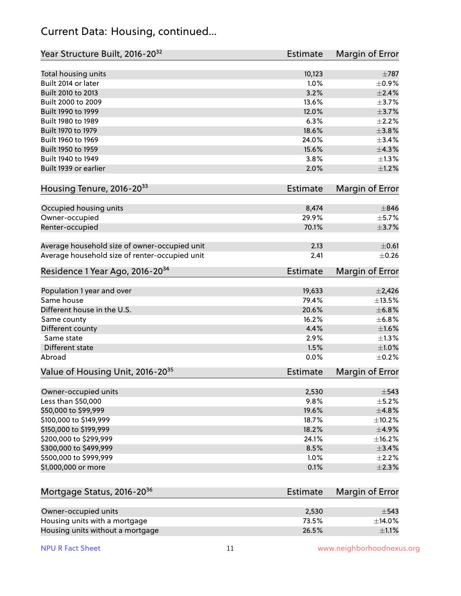#### Current Data: Housing, continued...

| Year Structure Built, 2016-20 <sup>32</sup>    | <b>Estimate</b> | Margin of Error |
|------------------------------------------------|-----------------|-----------------|
| Total housing units                            | 10,123          | $\pm 787$       |
| Built 2014 or later                            | 1.0%            | $\pm$ 0.9%      |
| Built 2010 to 2013                             | 3.2%            | $\pm 2.4\%$     |
| Built 2000 to 2009                             | 13.6%           | $\pm$ 3.7%      |
| Built 1990 to 1999                             | 12.0%           | $\pm$ 3.7%      |
| Built 1980 to 1989                             | 6.3%            | $\pm 2.2\%$     |
| Built 1970 to 1979                             | 18.6%           | ±3.8%           |
| Built 1960 to 1969                             | 24.0%           | ±3.4%           |
| Built 1950 to 1959                             | 15.6%           | ±4.3%           |
| Built 1940 to 1949                             | 3.8%            | $\pm 1.3\%$     |
| Built 1939 or earlier                          | 2.0%            | $\pm 1.2\%$     |
| Housing Tenure, 2016-2033                      | <b>Estimate</b> | Margin of Error |
|                                                |                 |                 |
| Occupied housing units                         | 8,474           | $\pm$ 846       |
| Owner-occupied                                 | 29.9%           | $\pm$ 5.7%      |
| Renter-occupied                                | 70.1%           | $\pm$ 3.7%      |
| Average household size of owner-occupied unit  | 2.13            | $\pm$ 0.61      |
| Average household size of renter-occupied unit | 2.41            | $\pm$ 0.26      |
| Residence 1 Year Ago, 2016-20 <sup>34</sup>    | Estimate        | Margin of Error |
| Population 1 year and over                     | 19,633          | $\pm 2,426$     |
| Same house                                     | 79.4%           | ±13.5%          |
| Different house in the U.S.                    | 20.6%           | $\pm$ 6.8%      |
| Same county                                    | 16.2%           | ±6.8%           |
| Different county                               | 4.4%            | $\pm1.6\%$      |
| Same state                                     | 2.9%            | $\pm 1.3\%$     |
| Different state                                | 1.5%            | $\pm1.0\%$      |
| Abroad                                         | 0.0%            | $\pm$ 0.2%      |
|                                                |                 |                 |
| Value of Housing Unit, 2016-20 <sup>35</sup>   | <b>Estimate</b> | Margin of Error |
| Owner-occupied units                           | 2,530           | $\pm$ 543       |
| Less than \$50,000                             | 9.8%            | $\pm$ 5.2%      |
| \$50,000 to \$99,999                           | 19.6%           | ±4.8%           |
| \$100,000 to \$149,999                         | 18.7%           | ±10.2%          |
| \$150,000 to \$199,999                         | 18.2%           | $\pm$ 4.9%      |
| \$200,000 to \$299,999                         | 24.1%           | ±16.2%          |
| \$300,000 to \$499,999                         | 8.5%            | $\pm$ 3.4%      |
| \$500,000 to \$999,999                         | 1.0%            | $\pm 2.2\%$     |
| \$1,000,000 or more                            | 0.1%            | ±2.3%           |
| Mortgage Status, 2016-20 <sup>36</sup>         | Estimate        | Margin of Error |
|                                                |                 |                 |
| Owner-occupied units                           | 2,530           | $\pm$ 543       |
| Housing units with a mortgage                  | 73.5%           | ±14.0%          |
| Housing units without a mortgage               | 26.5%           | $\pm 1.1\%$     |

Housing units without a mortgage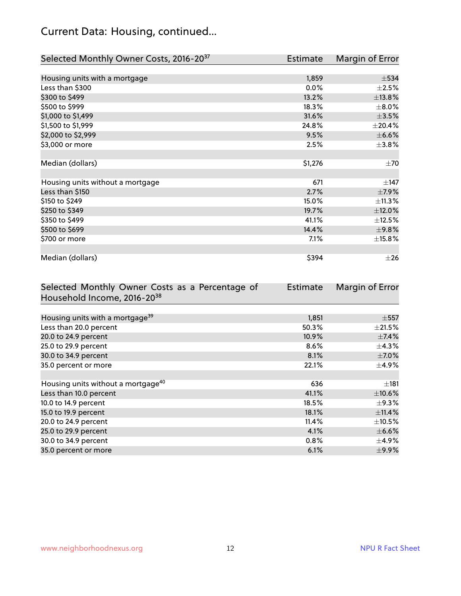## Current Data: Housing, continued...

| Selected Monthly Owner Costs, 2016-20 <sup>37</sup> | <b>Estimate</b> | Margin of Error |
|-----------------------------------------------------|-----------------|-----------------|
|                                                     |                 |                 |
| Housing units with a mortgage                       | 1,859           | $\pm$ 534       |
| Less than \$300                                     | 0.0%            | $\pm 2.5\%$     |
| \$300 to \$499                                      | 13.2%           | ±13.8%          |
| \$500 to \$999                                      | 18.3%           | $\pm$ 8.0%      |
| \$1,000 to \$1,499                                  | 31.6%           | $\pm 3.5\%$     |
| \$1,500 to \$1,999                                  | 24.8%           | $\pm 20.4\%$    |
| \$2,000 to \$2,999                                  | 9.5%            | $\pm$ 6.6%      |
| \$3,000 or more                                     | 2.5%            | $\pm$ 3.8%      |
|                                                     |                 |                 |
| Median (dollars)                                    | \$1,276         | $\pm 70$        |
|                                                     |                 |                 |
| Housing units without a mortgage                    | 671             | $\pm$ 147       |
| Less than \$150                                     | 2.7%            | $\pm$ 7.9%      |
| \$150 to \$249                                      | 15.0%           | ±11.3%          |
| \$250 to \$349                                      | 19.7%           | $\pm$ 12.0%     |
| \$350 to \$499                                      | 41.1%           | $\pm$ 12.5%     |
| \$500 to \$699                                      | 14.4%           | $\pm$ 9.8%      |
| \$700 or more                                       | 7.1%            | ±15.8%          |
|                                                     |                 |                 |
| Median (dollars)                                    | \$394           | $\pm 26$        |

| Selected Monthly Owner Costs as a Percentage of | <b>Estimate</b> | Margin of Error |
|-------------------------------------------------|-----------------|-----------------|
| Household Income, 2016-20 <sup>38</sup>         |                 |                 |
|                                                 |                 |                 |
| Housing units with a mortgage <sup>39</sup>     | 1,851           | $\pm$ 557       |
| Less than 20.0 percent                          | 50.3%           | $\pm 21.5\%$    |
| 20.0 to 24.9 percent                            | 10.9%           | $\pm$ 7.4%      |
| 25.0 to 29.9 percent                            | 8.6%            | $\pm$ 4.3%      |
| 30.0 to 34.9 percent                            | 8.1%            | $\pm$ 7.0%      |
| 35.0 percent or more                            | 22.1%           | $\pm$ 4.9%      |
|                                                 |                 |                 |
| Housing units without a mortgage <sup>40</sup>  | 636             | $\pm$ 181       |
| Less than 10.0 percent                          | 41.1%           | $\pm$ 10.6%     |
| 10.0 to 14.9 percent                            | 18.5%           | $\pm$ 9.3%      |
| 15.0 to 19.9 percent                            | 18.1%           | ±11.4%          |
| 20.0 to 24.9 percent                            | 11.4%           | $\pm$ 10.5%     |
| 25.0 to 29.9 percent                            | 4.1%            | $\pm$ 6.6%      |
| 30.0 to 34.9 percent                            | $0.8\%$         | $\pm$ 4.9%      |
| 35.0 percent or more                            | 6.1%            | $\pm$ 9.9%      |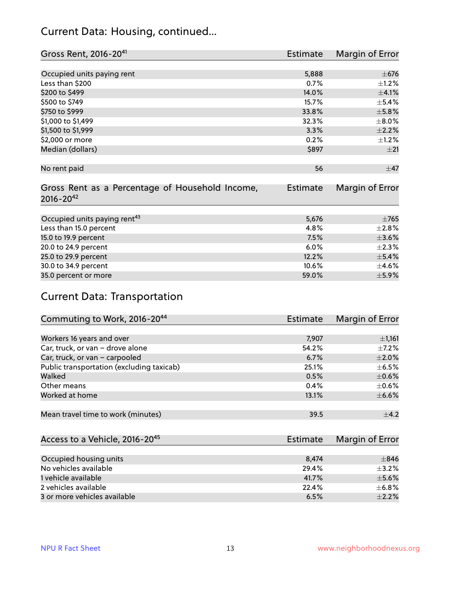#### Current Data: Housing, continued...

| Gross Rent, 2016-20 <sup>41</sup>               | <b>Estimate</b> | Margin of Error |
|-------------------------------------------------|-----------------|-----------------|
|                                                 |                 |                 |
| Occupied units paying rent                      | 5,888           | $\pm$ 676       |
| Less than \$200                                 | 0.7%            | $\pm$ 1.2%      |
| \$200 to \$499                                  | 14.0%           | $\pm 4.1\%$     |
| \$500 to \$749                                  | 15.7%           | $\pm$ 5.4%      |
| \$750 to \$999                                  | 33.8%           | $\pm$ 5.8%      |
| \$1,000 to \$1,499                              | 32.3%           | $\pm$ 8.0%      |
| \$1,500 to \$1,999                              | 3.3%            | $\pm 2.2\%$     |
| \$2,000 or more                                 | 0.2%            | $\pm$ 1.2%      |
| Median (dollars)                                | \$897           | ±21             |
|                                                 |                 |                 |
| No rent paid                                    | 56              | $\pm$ 47        |
|                                                 |                 |                 |
| Gross Rent as a Percentage of Household Income, | <b>Estimate</b> | Margin of Error |
| $2016 - 20^{42}$                                |                 |                 |
|                                                 |                 |                 |
| Occupied units paying rent <sup>43</sup>        | 5,676           | $\pm 765$       |
| Less than 15.0 percent                          | 4.8%            | $\pm 2.8\%$     |
| 15.0 to 19.9 percent                            | 7.5%            | $\pm 3.6\%$     |
| 20.0 to 24.9 percent                            | 6.0%            | $\pm 2.3\%$     |
| 25.0 to 29.9 percent                            | 12.2%           | $\pm$ 5.4%      |
| 30.0 to 34.9 percent                            | 10.6%           | $\pm$ 4.6%      |
| 35.0 percent or more                            | 59.0%           | $\pm$ 5.9%      |

## Current Data: Transportation

| Commuting to Work, 2016-20 <sup>44</sup>  | <b>Estimate</b> | Margin of Error |
|-------------------------------------------|-----------------|-----------------|
|                                           |                 |                 |
| Workers 16 years and over                 | 7,907           | $\pm$ 1,161     |
| Car, truck, or van - drove alone          | 54.2%           | $\pm$ 7.2%      |
| Car, truck, or van - carpooled            | 6.7%            | $\pm 2.0\%$     |
| Public transportation (excluding taxicab) | 25.1%           | $\pm$ 6.5%      |
| Walked                                    | 0.5%            | $\pm$ 0.6%      |
| Other means                               | 0.4%            | $\pm$ 0.6%      |
| Worked at home                            | 13.1%           | $\pm$ 6.6%      |
|                                           |                 |                 |
| Mean travel time to work (minutes)        | 39.5            | $+4.2$          |

| Access to a Vehicle, 2016-20 <sup>45</sup> | Estimate | Margin of Error |
|--------------------------------------------|----------|-----------------|
|                                            |          |                 |
| Occupied housing units                     | 8.474    | $\pm$ 846       |
| No vehicles available                      | 29.4%    | $+3.2%$         |
| 1 vehicle available                        | 41.7%    | $\pm$ 5.6%      |
| 2 vehicles available                       | 22.4%    | $\pm$ 6.8%      |
| 3 or more vehicles available               | 6.5%     | $\pm 2.2\%$     |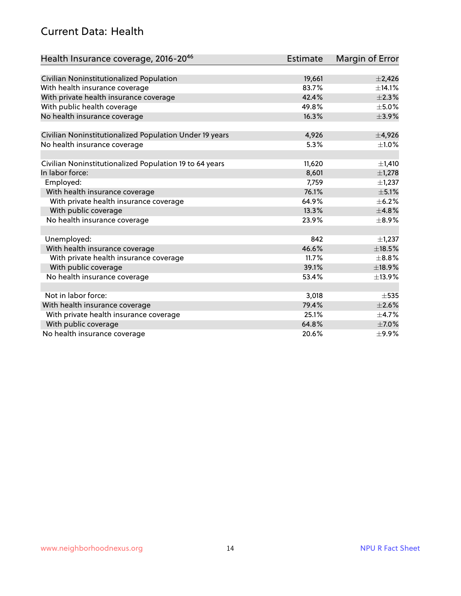#### Current Data: Health

| Health Insurance coverage, 2016-2046                    | <b>Estimate</b> | Margin of Error |
|---------------------------------------------------------|-----------------|-----------------|
|                                                         |                 |                 |
| Civilian Noninstitutionalized Population                | 19,661          | $\pm 2,426$     |
| With health insurance coverage                          | 83.7%           | ±14.1%          |
| With private health insurance coverage                  | 42.4%           | $\pm 2.3\%$     |
| With public health coverage                             | 49.8%           | $\pm$ 5.0%      |
| No health insurance coverage                            | 16.3%           | $\pm$ 3.9%      |
| Civilian Noninstitutionalized Population Under 19 years | 4,926           | $\pm$ 4,926     |
| No health insurance coverage                            | 5.3%            | $\pm 1.0\%$     |
|                                                         |                 |                 |
| Civilian Noninstitutionalized Population 19 to 64 years | 11,620          | ±1,410          |
| In labor force:                                         | 8,601           | $\pm$ 1,278     |
| Employed:                                               | 7,759           | $\pm$ 1,237     |
| With health insurance coverage                          | 76.1%           | $\pm$ 5.1%      |
| With private health insurance coverage                  | 64.9%           | $\pm$ 6.2%      |
| With public coverage                                    | 13.3%           | ±4.8%           |
| No health insurance coverage                            | 23.9%           | $\pm$ 8.9%      |
|                                                         |                 |                 |
| Unemployed:                                             | 842             | $\pm$ 1,237     |
| With health insurance coverage                          | 46.6%           | $\pm$ 18.5%     |
| With private health insurance coverage                  | 11.7%           | $\pm$ 8.8%      |
| With public coverage                                    | 39.1%           | ±18.9%          |
| No health insurance coverage                            | 53.4%           | ±13.9%          |
|                                                         |                 |                 |
| Not in labor force:                                     | 3,018           | $\pm$ 535       |
| With health insurance coverage                          | 79.4%           | $\pm 2.6\%$     |
| With private health insurance coverage                  | 25.1%           | $\pm$ 4.7%      |
| With public coverage                                    | 64.8%           | $\pm$ 7.0%      |
| No health insurance coverage                            | 20.6%           | ±9.9%           |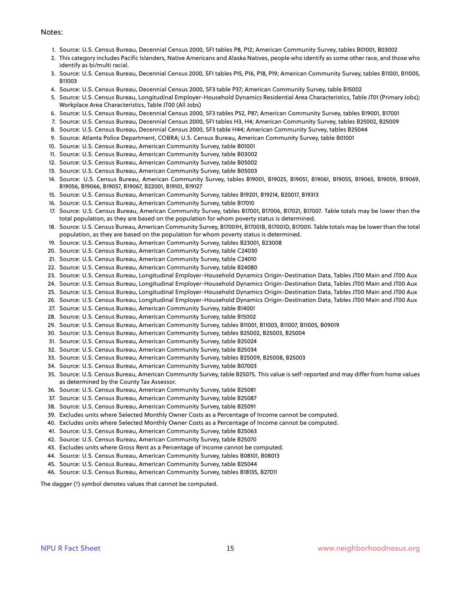#### Notes:

- 1. Source: U.S. Census Bureau, Decennial Census 2000, SF1 tables P8, P12; American Community Survey, tables B01001, B03002
- 2. This category includes Pacific Islanders, Native Americans and Alaska Natives, people who identify as some other race, and those who identify as bi/multi racial.
- 3. Source: U.S. Census Bureau, Decennial Census 2000, SF1 tables P15, P16, P18, P19; American Community Survey, tables B11001, B11005, B11003
- 4. Source: U.S. Census Bureau, Decennial Census 2000, SF3 table P37; American Community Survey, table B15002
- 5. Source: U.S. Census Bureau, Longitudinal Employer-Household Dynamics Residential Area Characteristics, Table JT01 (Primary Jobs); Workplace Area Characteristics, Table JT00 (All Jobs)
- 6. Source: U.S. Census Bureau, Decennial Census 2000, SF3 tables P52, P87; American Community Survey, tables B19001, B17001
- 7. Source: U.S. Census Bureau, Decennial Census 2000, SF1 tables H3, H4; American Community Survey, tables B25002, B25009
- 8. Source: U.S. Census Bureau, Decennial Census 2000, SF3 table H44; American Community Survey, tables B25044
- 9. Source: Atlanta Police Department, COBRA; U.S. Census Bureau, American Community Survey, table B01001
- 10. Source: U.S. Census Bureau, American Community Survey, table B01001
- 11. Source: U.S. Census Bureau, American Community Survey, table B03002
- 12. Source: U.S. Census Bureau, American Community Survey, table B05002
- 13. Source: U.S. Census Bureau, American Community Survey, table B05003
- 14. Source: U.S. Census Bureau, American Community Survey, tables B19001, B19025, B19051, B19061, B19055, B19065, B19059, B19069, B19056, B19066, B19057, B19067, B22001, B19101, B19127
- 15. Source: U.S. Census Bureau, American Community Survey, tables B19201, B19214, B20017, B19313
- 16. Source: U.S. Census Bureau, American Community Survey, table B17010
- 17. Source: U.S. Census Bureau, American Community Survey, tables B17001, B17006, B17021, B17007. Table totals may be lower than the total population, as they are based on the population for whom poverty status is determined.
- 18. Source: U.S. Census Bureau, American Community Survey, B17001H, B17001B, B17001D, B17001I. Table totals may be lower than the total population, as they are based on the population for whom poverty status is determined.
- 19. Source: U.S. Census Bureau, American Community Survey, tables B23001, B23008
- 20. Source: U.S. Census Bureau, American Community Survey, table C24030
- 21. Source: U.S. Census Bureau, American Community Survey, table C24010
- 22. Source: U.S. Census Bureau, American Community Survey, table B24080
- 23. Source: U.S. Census Bureau, Longitudinal Employer-Household Dynamics Origin-Destination Data, Tables JT00 Main and JT00 Aux
- 24. Source: U.S. Census Bureau, Longitudinal Employer-Household Dynamics Origin-Destination Data, Tables JT00 Main and JT00 Aux
- 25. Source: U.S. Census Bureau, Longitudinal Employer-Household Dynamics Origin-Destination Data, Tables JT00 Main and JT00 Aux
- 26. Source: U.S. Census Bureau, Longitudinal Employer-Household Dynamics Origin-Destination Data, Tables JT00 Main and JT00 Aux
- 27. Source: U.S. Census Bureau, American Community Survey, table B14001
- 28. Source: U.S. Census Bureau, American Community Survey, table B15002
- 29. Source: U.S. Census Bureau, American Community Survey, tables B11001, B11003, B11007, B11005, B09019
- 30. Source: U.S. Census Bureau, American Community Survey, tables B25002, B25003, B25004
- 31. Source: U.S. Census Bureau, American Community Survey, table B25024
- 32. Source: U.S. Census Bureau, American Community Survey, table B25034
- 33. Source: U.S. Census Bureau, American Community Survey, tables B25009, B25008, B25003
- 34. Source: U.S. Census Bureau, American Community Survey, table B07003
- 35. Source: U.S. Census Bureau, American Community Survey, table B25075. This value is self-reported and may differ from home values as determined by the County Tax Assessor.
- 36. Source: U.S. Census Bureau, American Community Survey, table B25081
- 37. Source: U.S. Census Bureau, American Community Survey, table B25087
- 38. Source: U.S. Census Bureau, American Community Survey, table B25091
- 39. Excludes units where Selected Monthly Owner Costs as a Percentage of Income cannot be computed.
- 40. Excludes units where Selected Monthly Owner Costs as a Percentage of Income cannot be computed.
- 41. Source: U.S. Census Bureau, American Community Survey, table B25063
- 42. Source: U.S. Census Bureau, American Community Survey, table B25070
- 43. Excludes units where Gross Rent as a Percentage of Income cannot be computed.
- 44. Source: U.S. Census Bureau, American Community Survey, tables B08101, B08013
- 45. Source: U.S. Census Bureau, American Community Survey, table B25044
- 46. Source: U.S. Census Bureau, American Community Survey, tables B18135, B27011

The dagger (†) symbol denotes values that cannot be computed.